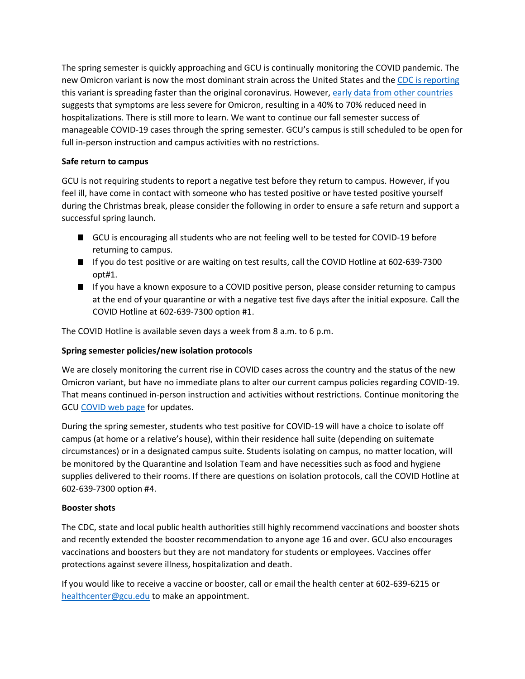The spring semester is quickly approaching and GCU is continually monitoring the COVID pandemic. The new Omicron variant is now the most dominant strain across the United States and th[e CDC is reporting](https://www.cdc.gov/coronavirus/2019-ncov/variants/omicron-variant.html) this variant is spreading faster than the original coronavirus. However, [early data from other countries](https://www.latimes.com/california/story/2021-12-23/omicron-sweeping-through-california-with-staggering-speed-bringing-alarm-and-questions) suggests that symptoms are less severe for Omicron, resulting in a 40% to 70% reduced need in hospitalizations. There is still more to learn. We want to continue our fall semester success of manageable COVID-19 cases through the spring semester. GCU's campus is still scheduled to be open for full in-person instruction and campus activities with no restrictions.

## **Safe return to campus**

GCU is not requiring students to report a negative test before they return to campus. However, if you feel ill, have come in contact with someone who has tested positive or have tested positive yourself during the Christmas break, please consider the following in order to ensure a safe return and support a successful spring launch.

- GCU is encouraging all students who are not feeling well to be tested for COVID-19 before returning to campus.
- If you do test positive or are waiting on test results, call the COVID Hotline at 602-639-7300 opt#1.
- If you have a known exposure to a COVID positive person, please consider returning to campus at the end of your quarantine or with a negative test five days after the initial exposure. Call the COVID Hotline at 602-639-7300 option #1.

The COVID Hotline is available seven days a week from 8 a.m. to 6 p.m.

## **Spring semester policies/new isolation protocols**

We are closely monitoring the current rise in COVID cases across the country and the status of the new Omicron variant, but have no immediate plans to alter our current campus policies regarding COVID-19. That means continued in-person instruction and activities without restrictions. Continue monitoring the GC[U COVID web](https://www.gcu.edu/coronavirus-disease-2019-information) page for updates.

During the spring semester, students who test positive for COVID-19 will have a choice to isolate off campus (at home or a relative's house), within their residence hall suite (depending on suitemate circumstances) or in a designated campus suite. Students isolating on campus, no matter location, will be monitored by the Quarantine and Isolation Team and have necessities such as food and hygiene supplies delivered to their rooms. If there are questions on isolation protocols, call the COVID Hotline at 602-639-7300 option #4.

## **Booster shots**

The CDC, state and local public health authorities still highly recommend vaccinations and booster shots and recently extended the booster recommendation to anyone age 16 and over. GCU also encourages vaccinations and boosters but they are not mandatory for students or employees. Vaccines offer protections against severe illness, hospitalization and death.

If you would like to receive a vaccine or booster, call or email the health center at 602-639-6215 or [healthcenter@gcu.edu](mailto:healthcenter@gcu.edu) to make an appointment.